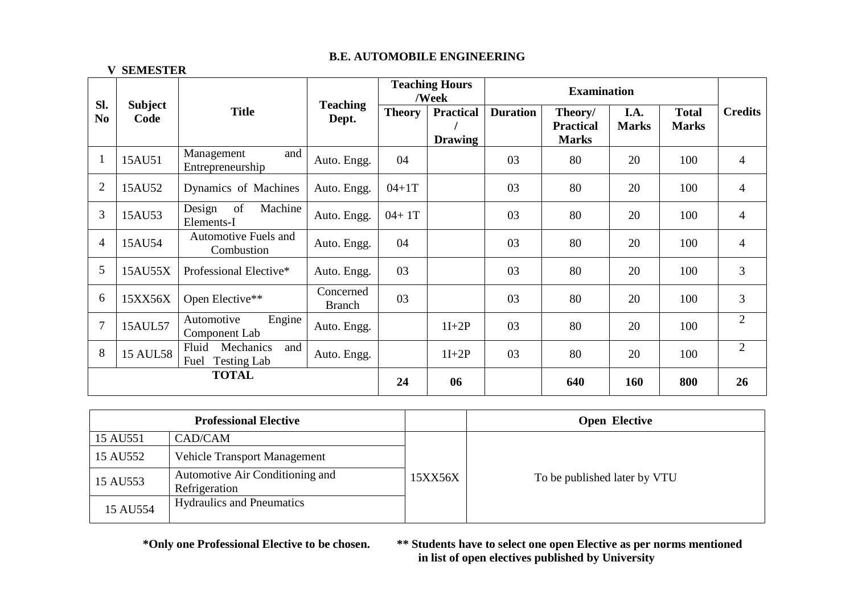#### **V SEMESTER**

| Sl.            | <b>Subject</b><br>Code | <b>Title</b>                                  |                            | <b>Teaching Hours</b><br>/Week |                                    | <b>Examination</b> |                                             |                      |                              |                |
|----------------|------------------------|-----------------------------------------------|----------------------------|--------------------------------|------------------------------------|--------------------|---------------------------------------------|----------------------|------------------------------|----------------|
| N <sub>0</sub> |                        |                                               | <b>Teaching</b><br>Dept.   | <b>Theory</b>                  | <b>Practical</b><br><b>Drawing</b> | <b>Duration</b>    | Theory/<br><b>Practical</b><br><b>Marks</b> | I.A.<br><b>Marks</b> | <b>Total</b><br><b>Marks</b> | <b>Credits</b> |
|                | 15AU51                 | Management<br>and<br>Entrepreneurship         | Auto. Engg.                | 04                             |                                    | 03                 | 80                                          | 20                   | 100                          | $\overline{4}$ |
| $\overline{2}$ | 15AU52                 | Dynamics of Machines                          | Auto. Engg.                | $04 + 1T$                      |                                    | 03                 | 80                                          | 20                   | 100                          | $\overline{4}$ |
| 3              | 15AU53                 | Design<br>of<br>Machine<br>Elements-I         | Auto. Engg.                | $04 + 1T$                      |                                    | 03                 | 80                                          | 20                   | 100                          | $\overline{4}$ |
| 4              | 15AU54                 | Automotive Fuels and<br>Combustion            | Auto. Engg.                | 04                             |                                    | 03                 | 80                                          | 20                   | 100                          | $\overline{4}$ |
| 5              | 15AU55X                | Professional Elective*                        | Auto. Engg.                | 03                             |                                    | 03                 | 80                                          | 20                   | 100                          | 3              |
| 6              | 15XX56X                | Open Elective**                               | Concerned<br><b>Branch</b> | 03                             |                                    | 03                 | 80                                          | 20                   | 100                          | $\overline{3}$ |
| $\overline{7}$ | 15AUL57                | Automotive<br>Engine<br>Component Lab         | Auto. Engg.                |                                | $1I+2P$                            | 03                 | 80                                          | 20                   | 100                          | $\overline{2}$ |
| 8              | <b>15 AUL58</b>        | Fluid<br>Mechanics<br>and<br>Fuel Testing Lab | Auto. Engg.                |                                | $1I+2P$                            | 03                 | 80                                          | 20                   | 100                          | $\overline{2}$ |
|                |                        | <b>TOTAL</b>                                  |                            | 24                             | 06                                 |                    | 640                                         | 160                  | 800                          | 26             |

|          | <b>Professional Elective</b>                     |         | <b>Open Elective</b>         |
|----------|--------------------------------------------------|---------|------------------------------|
| 15 AU551 | CAD/CAM                                          |         |                              |
| 15 AU552 | <b>Vehicle Transport Management</b>              |         |                              |
| 15 AU553 | Automotive Air Conditioning and<br>Refrigeration | 15XX56X | To be published later by VTU |
| 15 AU554 | <b>Hydraulics and Pneumatics</b>                 |         |                              |

**\*Only one Professional Elective to be chosen. \*\* Students have to select one open Elective as per norms mentioned in list of open electives published by University**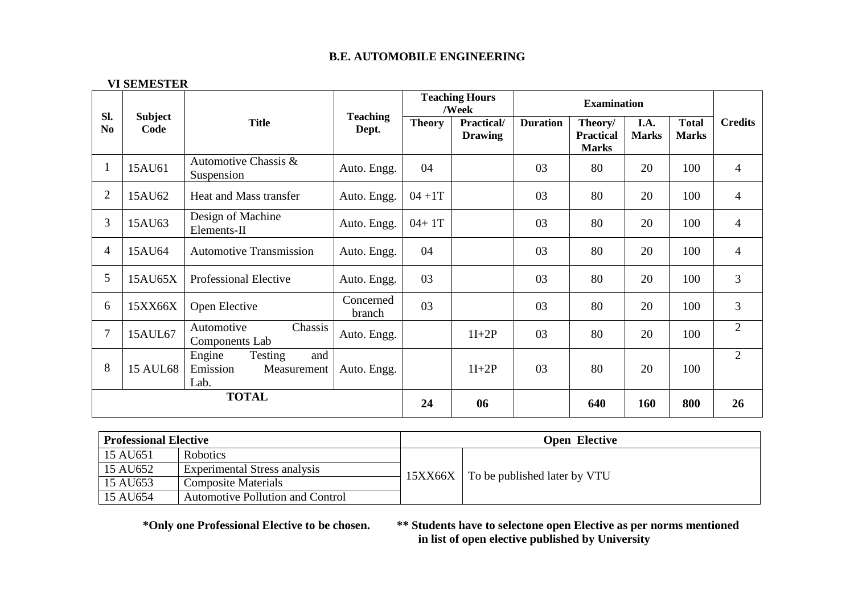### **VI SEMESTER**

|                       | <b>Subject</b><br>Code |                                                             |                          | <b>Teaching Hours</b><br>/Week |                              | <b>Examination</b> |                                             |                      |                              |                |
|-----------------------|------------------------|-------------------------------------------------------------|--------------------------|--------------------------------|------------------------------|--------------------|---------------------------------------------|----------------------|------------------------------|----------------|
| Sl.<br>N <sub>0</sub> |                        | <b>Title</b>                                                | <b>Teaching</b><br>Dept. | <b>Theory</b>                  | Practical/<br><b>Drawing</b> | <b>Duration</b>    | Theory/<br><b>Practical</b><br><b>Marks</b> | I.A.<br><b>Marks</b> | <b>Total</b><br><b>Marks</b> | <b>Credits</b> |
| $\perp$               | 15AU61                 | Automotive Chassis &<br>Suspension                          | Auto. Engg.              | 04                             |                              | 03                 | 80                                          | 20                   | 100                          | $\overline{4}$ |
| $\overline{2}$        | 15AU62                 | Heat and Mass transfer                                      | Auto. Engg.              | $04 + 1T$                      |                              | 03                 | 80                                          | 20                   | 100                          | $\overline{4}$ |
| 3                     | 15AU63                 | Design of Machine<br>Elements-II                            | Auto. Engg.              | $04 + 1T$                      |                              | 03                 | 80                                          | 20                   | 100                          | $\overline{4}$ |
| $\overline{4}$        | 15AU64                 | <b>Automotive Transmission</b>                              | Auto. Engg.              | 04                             |                              | 03                 | 80                                          | 20                   | 100                          | $\overline{4}$ |
| 5                     | 15AU65X                | Professional Elective                                       | Auto. Engg.              | 03                             |                              | 03                 | 80                                          | 20                   | 100                          | 3              |
| 6                     | 15XX66X                | Open Elective                                               | Concerned<br>branch      | 03                             |                              | 03                 | 80                                          | 20                   | 100                          | 3              |
| $\overline{7}$        | 15AUL67                | Automotive<br>Chassis<br>Components Lab                     | Auto. Engg.              |                                | $1I+2P$                      | 03                 | 80                                          | 20                   | 100                          | $\overline{2}$ |
| 8                     | <b>15 AUL68</b>        | Engine<br>Testing<br>and<br>Emission<br>Measurement<br>Lab. | Auto. Engg.              |                                | $1I+2P$                      | 03                 | 80                                          | 20                   | 100                          | $\overline{2}$ |
|                       |                        | <b>TOTAL</b>                                                |                          | 24                             | 06                           |                    | 640                                         | 160                  | 800                          | 26             |

| <b>Professional Elective</b> |                                         | <b>Open Elective</b> |                                      |  |  |  |
|------------------------------|-----------------------------------------|----------------------|--------------------------------------|--|--|--|
| 15 AU651                     | <b>Robotics</b>                         |                      |                                      |  |  |  |
| 15 AU652                     | Experimental Stress analysis            |                      |                                      |  |  |  |
| 15 AU653                     | <b>Composite Materials</b>              |                      | 15XX66X To be published later by VTU |  |  |  |
| 15 AU654                     | <b>Automotive Pollution and Control</b> |                      |                                      |  |  |  |

**\*Only one Professional Elective to be chosen. \*\* Students have to selectone open Elective as per norms mentioned in list of open elective published by University**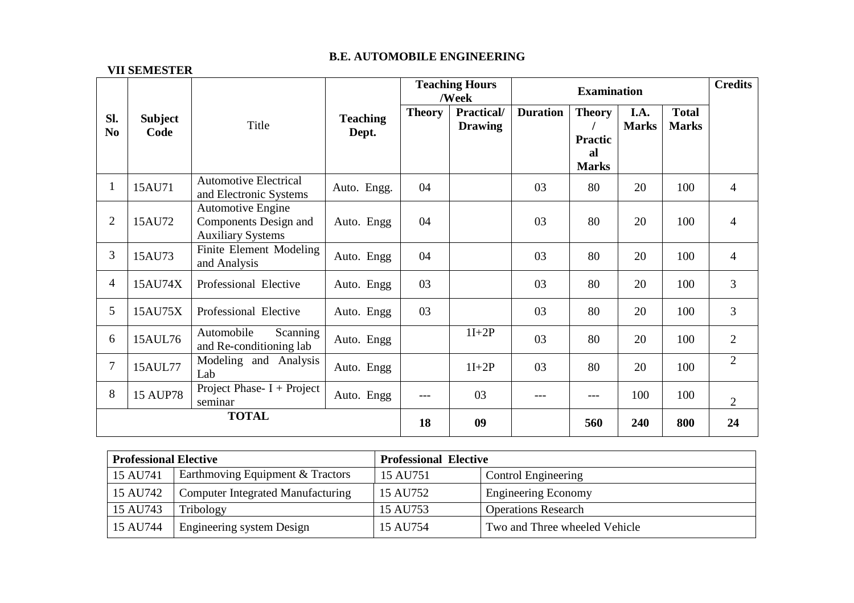#### **VII SEMESTER Sl. No Subject ubject** Title Traching Teaching Teaching Dept. **Teaching Hours** *Credits Credits Credits Credits* **Theory Practical/ Drawing Duration Theory / Practical Marks I.A. MarksTotal Marks** 1 | 15AU71 | Automotive Electrical | Auto. Engg. | 04 | 03 | 80 | 20 | 100 | 4 2 15AU72 Automotive Engine Components Design and Auxiliary Systems **Finite Element Modeling** Auto. Engg | 04 | 03 | 80 | 20 | 100 | 4  $3 \left[ 15 \text{AU} \cdot 73 \right]$  Finite Element Modeling Auto. Engg 04  $\left[ 0.03 \right]$  80  $\left[ 20 \right]$  100 4 4 | 15AU74X | Professional Elective | Auto. Engg | 03 | 03 | 03 | 03 | 20 | 20 | 100 | 3 5 | 15AU75X | Professional Elective | Auto. Engg | 03 | 03 | 03 | 80 | 20 | 100 | 3 6 15AUL76 Automobile Scanning Auto. Engg 1I+2P 03 80 20 100 2 7 15AUL77 Modeling and Analysis Lab Auto. Engg 1I+2P 03 80 20 100 2 8 15 AUP78 Project Phase- I + Project  $\vert$  Auto. Engg  $\vert$  ---  $\vert$  03  $\vert$  ---  $\vert$  ---  $\vert$  100 100  $\vert$  2 **TOTAL** 18 09 560 240 800 24

| <b>Professional Elective</b> |                                          | <b>Professional Elective</b> |                               |  |
|------------------------------|------------------------------------------|------------------------------|-------------------------------|--|
| 15 AU741                     | Earthmoving Equipment & Tractors         | 15 AU751                     | Control Engineering           |  |
| 15 AU742                     | <b>Computer Integrated Manufacturing</b> | 15 AU752                     | <b>Engineering Economy</b>    |  |
| 15 AU743                     | Tribology                                | 15 AU753                     | <b>Operations Research</b>    |  |
| 15 AU744                     | Engineering system Design                | 15 AU754                     | Two and Three wheeled Vehicle |  |